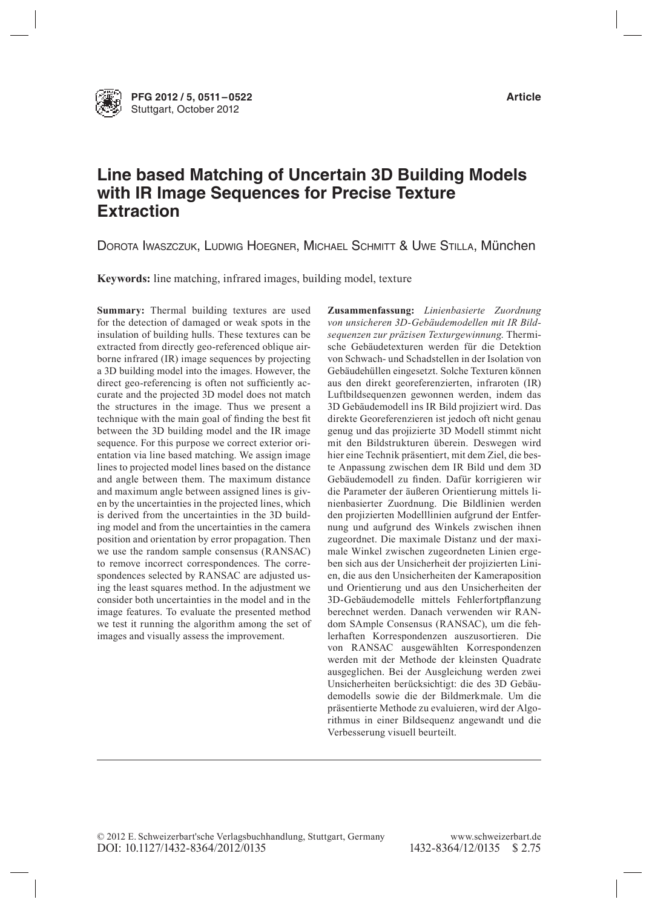

**PFG 2012 / 5, 0511–0522 Article** Stuttgart, October 2012

# **Line based Matching of Uncertain 3D Building Models with IR Image Sequences for Precise Texture Extraction**

DOROTA IWASZCZUK, LUDWIG HOEGNER, MICHAEL SCHMITT & UWE STILLA, MÜNCHEN

**Keywords:** line matching, infrared images, building model, texture

**Summary:** Thermal building textures are used for the detection of damaged or weak spots in the insulation of building hulls. These textures can be extracted from directly geo-referenced oblique airborne infrared (IR) image sequences by projecting a 3D building model into the images. However, the direct geo-referencing is often not suficiently accurate and the projected 3D model does not match the structures in the image. Thus we present a technique with the main goal of finding the best fit between the 3D building model and the IR image sequence. For this purpose we correct exterior orientation via line based matching. We assign image lines to projected model lines based on the distance and angle between them. The maximum distance and maximum angle between assigned lines is given by the uncertainties in the projected lines, which is derived from the uncertainties in the 3D building model and from the uncertainties in the camera position and orientation by error propagation. Then we use the random sample consensus (RANSAC) to remove incorrect correspondences. The correspondences selected by RANSAC are adjusted using the least squares method. In the adjustment we consider both uncertainties in the model and in the image features. To evaluate the presented method we test it running the algorithm among the set of images and visually assess the improvement.

**Zusammenfassung:** *Linienbasierte Zuordnung von unsicheren 3D-Gebäudemodellen mit IR Bildsequenzen zur präzisen Texturgewinnung*. Thermische Gebäudetexturen werden für die Detektion von Schwach- und Schadstellen in der Isolation von Gebäudehüllen eingesetzt. Solche Texturen können aus den direkt georeferenzierten, infraroten (IR) Luftbildsequenzen gewonnen werden, indem das 3D Gebäudemodell ins IR Bild projiziert wird. Das direkte Georeferenzieren ist jedoch oft nicht genau genug und das projizierte 3D Modell stimmt nicht mit den Bildstrukturen überein. Deswegen wird hier eine Technik präsentiert, mit dem Ziel, die beste Anpassung zwischen dem IR Bild und dem 3D Gebäudemodell zu finden. Dafür korrigieren wir die Parameter der äußeren Orientierung mittels linienbasierter Zuordnung. Die Bildlinien werden den projizierten Modelllinien aufgrund der Entfernung und aufgrund des Winkels zwischen ihnen zugeordnet. Die maximale Distanz und der maximale Winkel zwischen zugeordneten Linien ergeben sich aus der Unsicherheit der projizierten Linien, die aus den Unsicherheiten der Kameraposition und Orientierung und aus den Unsicherheiten der 3D-Gebäudemodelle mittels Fehlerfortplanzung berechnet werden. Danach verwenden wir RANdom SAmple Consensus (RANSAC), um die fehlerhaften Korrespondenzen auszusortieren. Die von RANSAC ausgewählten Korrespondenzen werden mit der Methode der kleinsten Quadrate ausgeglichen. Bei der Ausgleichung werden zwei Unsicherheiten berücksichtigt: die des 3D Gebäudemodells sowie die der Bildmerkmale. Um die präsentierte Methode zu evaluieren, wird der Algorithmus in einer Bildsequenz angewandt und die Verbesserung visuell beurteilt.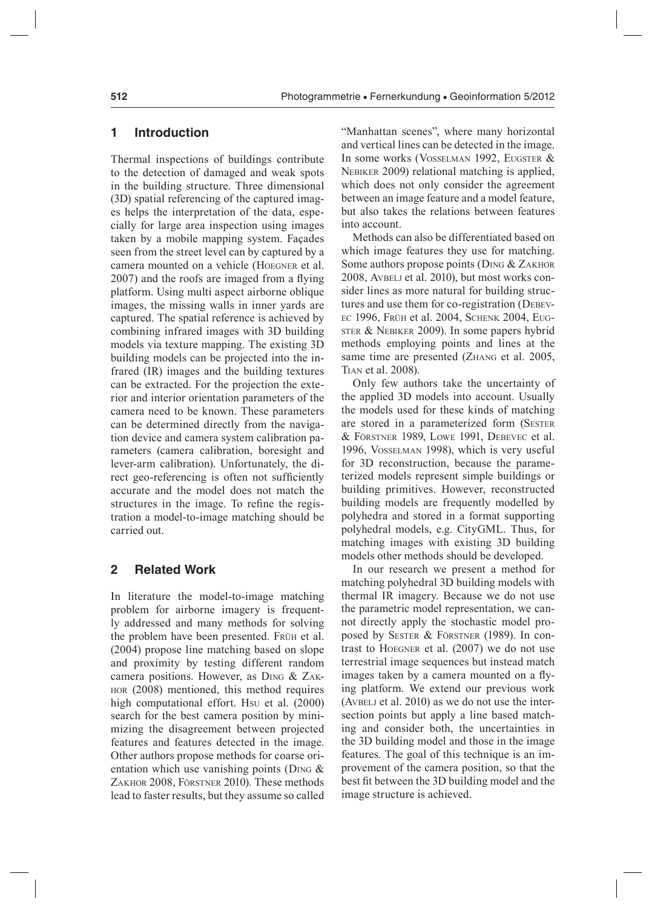# **1 Introduction**

Thermal inspections of buildings contribute to the detection of damaged and weak spots in the building structure. Three dimensional (3D) spatial referencing of the captured images helps the interpretation of the data, especially for large area inspection using images taken by a mobile mapping system. Façades seen from the street level can by captured by a camera mounted on a vehicle (hoegner et al. 2007) and the roofs are imaged from a flying platform. Using multi aspect airborne oblique images, the missing walls in inner yards are captured. The spatial reference is achieved by combining infrared images with 3D building models via texture mapping. The existing 3D building models can be projected into the infrared (IR) images and the building textures can be extracted. For the projection the exterior and interior orientation parameters of the camera need to be known. These parameters can be determined directly from the navigation device and camera system calibration parameters (camera calibration, boresight and lever-arm calibration). Unfortunately, the direct geo-referencing is often not suficiently accurate and the model does not match the structures in the image. To refine the registration a model-to-image matching should be carried out.

## **2 Related Work**

In literature the model-to-image matching problem for airborne imagery is frequently addressed and many methods for solving the problem have been presented. Frü<sup>h</sup> et al. (2004) propose line matching based on slope and proximity by testing different random camera positions. However, as Ding & Zakhor (2008) mentioned, this method requires high computational effort. Hsu et al. (2000) search for the best camera position by minimizing the disagreement between projected features and features detected in the image. Other authors propose methods for coarse orientation which use vanishing points (D<sub>ING</sub>  $\&$ Zakhor 2008, Förstner 2010). These methods lead to faster results, but they assume so called "Manhattan scenes", where many horizontal and vertical lines can be detected in the image. In some works (VOSSELMAN 1992, EUGSTER & NEBIKER 2009) relational matching is applied, which does not only consider the agreement between an image feature and a model feature, but also takes the relations between features into account.

Methods can also be differentiated based on which image features they use for matching. Some authors propose points (DING & ZAKHOR 2008, AVBELJ et al. 2010), but most works consider lines as more natural for building structures and use them for co-registration (DEBEVec 1996, Frü<sup>h</sup> et al. 2004, schenk 2004, eug-STER & NEBIKER 2009). In some papers hybrid methods employing points and lines at the same time are presented (ZHANG et al. 2005, TIAN et al. 2008).

Only few authors take the uncertainty of the applied 3D models into account. Usually the models used for these kinds of matching are stored in a parameterized form (SESTER & F<sup>ö</sup>rstner 1989, lowe 1991, DebeVec et al. 1996, Vosselman 1998), which is very useful for 3D reconstruction, because the parameterized models represent simple buildings or building primitives. However, reconstructed building models are frequently modelled by polyhedra and stored in a format supporting polyhedral models, e.g. CityGML. Thus, for matching images with existing 3D building models other methods should be developed.

In our research we present a method for matching polyhedral 3D building models with thermal IR imagery. Because we do not use the parametric model representation, we cannot directly apply the stochastic model proposed by sester & Förstner (1989). In contrast to hoegner et al. (2007) we do not use terrestrial image sequences but instead match images taken by a camera mounted on a flying platform. We extend our previous work (AVBELJ et al.  $2010$ ) as we do not use the intersection points but apply a line based matching and consider both, the uncertainties in the 3D building model and those in the image features. The goal of this technique is an improvement of the camera position, so that the best it between the 3D building model and the image structure is achieved.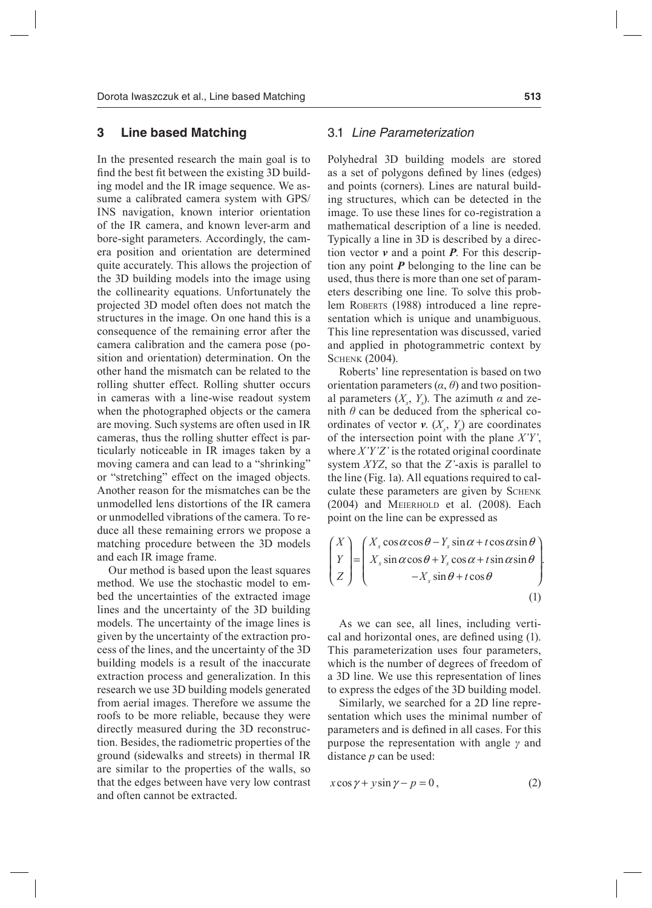## **3 Line based Matching**

In the presented research the main goal is to find the best fit between the existing 3D building model and the IR image sequence. We assume a calibrated camera system with GPS/ INS navigation, known interior orientation of the IR camera, and known lever-arm and bore-sight parameters. Accordingly, the camera position and orientation are determined quite accurately. This allows the projection of the 3D building models into the image using the collinearity equations. Unfortunately the projected 3D model often does not match the structures in the image. On one hand this is a consequence of the remaining error after the camera calibration and the camera pose (position and orientation) determination. On the other hand the mismatch can be related to the rolling shutter effect. Rolling shutter occurs in cameras with a line-wise readout system when the photographed objects or the camera are moving. Such systems are often used in IR cameras, thus the rolling shutter effect is particularly noticeable in IR images taken by a moving camera and can lead to a "shrinking" or "stretching" effect on the imaged objects. Another reason for the mismatches can be the unmodelled lens distortions of the IR camera or unmodelled vibrations of the camera. To reduce all these remaining errors we propose a matching procedure between the 3D models and each IR image frame.

Our method is based upon the least squares method. We use the stochastic model to embed the uncertainties of the extracted image lines and the uncertainty of the 3D building models. The uncertainty of the image lines is given by the uncertainty of the extraction process of the lines, and the uncertainty of the 3D building models is a result of the inaccurate extraction process and generalization. In this research we use 3D building models generated from aerial images. Therefore we assume the roofs to be more reliable, because they were directly measured during the 3D reconstruction. Besides, the radiometric properties of the ground (sidewalks and streets) in thermal IR are similar to the properties of the walls, so that the edges between have very low contrast and often cannot be extracted.

## 3.1 Line Parameterization

Polyhedral 3D building models are stored as a set of polygons defined by lines (edges) and points (corners). Lines are natural building structures, which can be detected in the image. To use these lines for co-registration a mathematical description of a line is needed. Typically a line in 3D is described by a direction vector *v* and a point *P*. For this description any point *P* belonging to the line can be used, thus there is more than one set of parameters describing one line. To solve this problem ROBERTS (1988) introduced a line representation which is unique and unambiguous. This line representation was discussed, varied and applied in photogrammetric context by **SCHENK (2004).** 

Roberts' line representation is based on two orientation parameters  $(\alpha, \theta)$  and two positional parameters  $(X_s, Y_s)$ . The azimuth  $\alpha$  and zenith  $\theta$  can be deduced from the spherical coordinates of vector  $v$ .  $(X_s, Y_s)$  are coordinates of the intersection point with the plane *X'Y'*, where *X'Y'Z'* is the rotated original coordinate system *XYZ*, so that the *Z'*-axis is parallel to the line (Fig. 1a). All equations required to calculate these parameters are given by SCHENK (2004) and meierholD et al. (2008). Each point on the line can be expressed as

$$
\begin{pmatrix} X \\ Y \\ Z \end{pmatrix} = \begin{pmatrix} X_s \cos \alpha \cos \theta - Y_s \sin \alpha + t \cos \alpha \sin \theta \\ X_s \sin \alpha \cos \theta + Y_s \cos \alpha + t \sin \alpha \sin \theta \\ -X_s \sin \theta + t \cos \theta \end{pmatrix}.
$$
\n(1)

As we can see, all lines, including vertical and horizontal ones, are defined using (1). This parameterization uses four parameters, which is the number of degrees of freedom of a 3D line. We use this representation of lines to express the edges of the 3D building model.

Similarly, we searched for a 2D line representation which uses the minimal number of parameters and is defined in all cases. For this purpose the representation with angle *γ* and distance *p* can be used:

$$
x\cos\gamma + y\sin\gamma - p = 0, \tag{2}
$$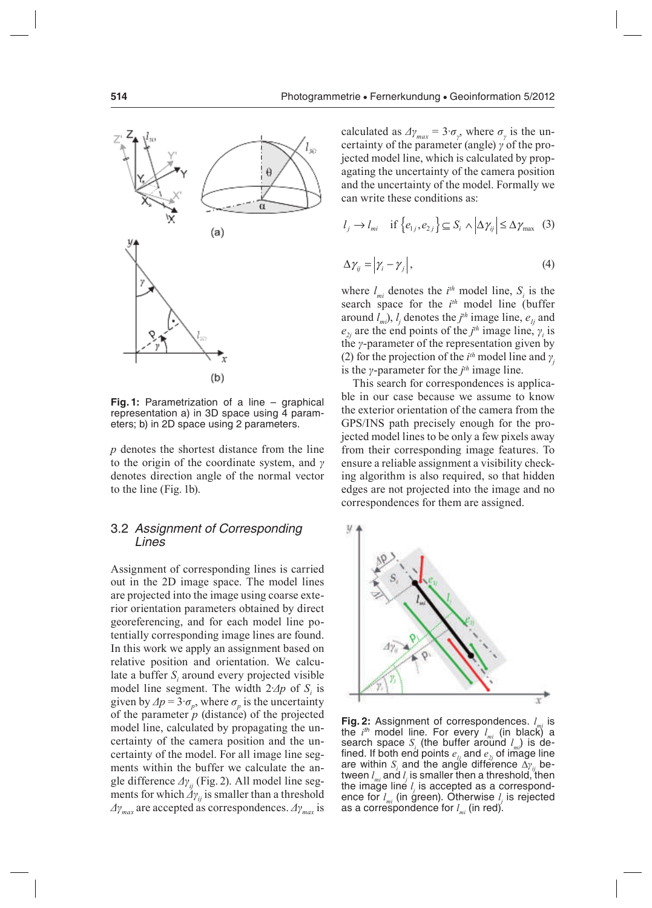

**Fig. 1:** Parametrization of a line – graphical representation a) in 3D space using 4 parameters; b) in 2D space using 2 parameters.

*p* denotes the shortest distance from the line to the origin of the coordinate system, and *γ* denotes direction angle of the normal vector to the line (Fig. 1b).

## 3.2 Assignment of Corresponding Lines

Assignment of corresponding lines is carried out in the 2D image space. The model lines are projected into the image using coarse exterior orientation parameters obtained by direct georeferencing, and for each model line potentially corresponding image lines are found. In this work we apply an assignment based on relative position and orientation. We calculate a buffer  $S<sub>i</sub>$  around every projected visible model line segment. The width  $2\Delta p$  of  $S_i$  is given by  $\Delta p = 3 \cdot \sigma_p$ , where  $\sigma_p$  is the uncertainty of the parameter  $p$  (distance) of the projected model line, calculated by propagating the uncertainty of the camera position and the uncertainty of the model. For all image line segments within the buffer we calculate the angle difference *Δγij* (Fig. 2). All model line segments for which  $\Delta y_i$  is smaller than a threshold *Δγmax* are accepted as correspondences. *Δγmax* is

calculated as  $\Delta y_{max} = 3 \cdot \sigma_y$ , where  $\sigma_y$  is the uncertainty of the parameter (angle) *γ* of the projected model line, which is calculated by propagating the uncertainty of the camera position and the uncertainty of the model. Formally we can write these conditions as:

$$
l_j \to l_{mi} \quad \text{if } \{e_{1j}, e_{2j}\} \subseteq S_i \land |\Delta \gamma_{ij}| \leq \Delta \gamma_{\text{max}} \quad (3)
$$

$$
\Delta \gamma_{ij} = \left| \gamma_i - \gamma_j \right|,\tag{4}
$$

where  $l_{mi}$  denotes the  $i^{th}$  model line,  $S_i$  is the search space for the *i th* model line (buffer around  $l_{m}$ ),  $l_{j}$  denotes the  $j$ <sup>th</sup> image line,  $e_{lj}$  and  $e_{2j}$  are the end points of the *j<sup>th</sup>* image line,  $\gamma_i$  is the *γ*-parameter of the representation given by (2) for the projection of the  $i^{th}$  model line and  $\gamma$ is the *γ*-parameter for the *j th* image line.

This search for correspondences is applicable in our case because we assume to know the exterior orientation of the camera from the GPS/INS path precisely enough for the projected model lines to be only a few pixels away from their corresponding image features. To ensure a reliable assignment a visibility checking algorithm is also required, so that hidden edges are not projected into the image and no correspondences for them are assigned.



**Fig. 2:** Assignment of correspondences. *lmi* is the *i*<sup>th</sup> model line. For every *l<sub>mi</sub>* (in black) a search space *S<sup>i</sup>* (the buffer around *lmi*) is defined. If both end points  $e_{1i}$  and  $e_{2j}$  of image line are within *S<sup>i</sup>* and the angle difference ∆*γ ij* between *lmi* and *l j* is smaller then a threshold, then the image line *l<sub>i</sub>* is accepted as a correspond*j* ence for *lmi* (in green). Otherwise *l j* is rejected as a correspondence for *lmi* (in red).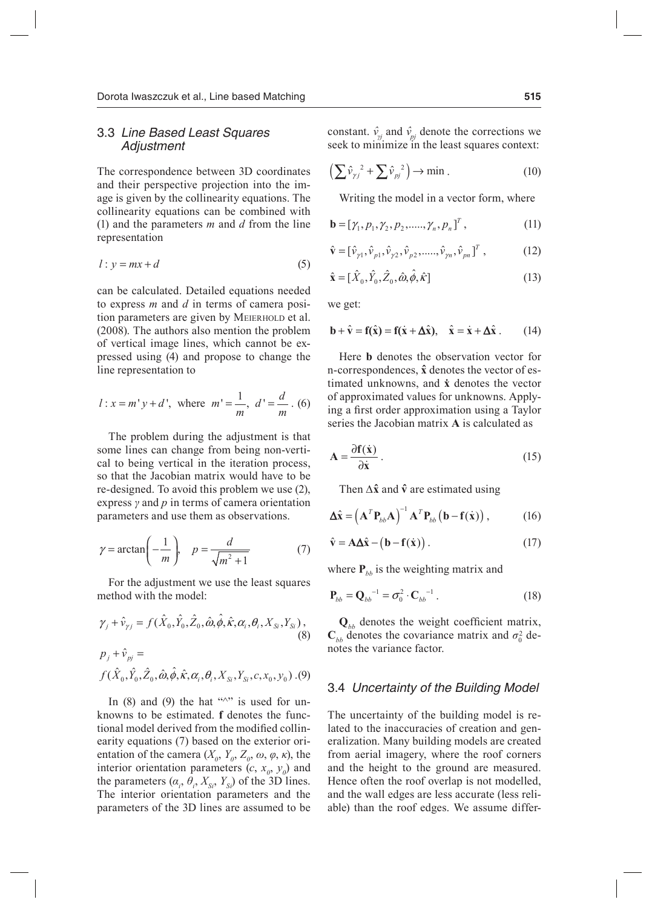## 3.3 Line Based Least Squares Adjustment

The correspondence between 3D coordinates and their perspective projection into the image is given by the collinearity equations. The collinearity equations can be combined with (1) and the parameters *m* and *d* from the line representation

$$
l: y = mx + d \tag{5}
$$

can be calculated. Detailed equations needed to express *m* and *d* in terms of camera position parameters are given by MEIERHOLD et al. (2008). The authors also mention the problem of vertical image lines, which cannot be expressed using (4) and propose to change the line representation to

$$
l: x = m'y + d'
$$
, where  $m' = \frac{1}{m}$ ,  $d' = \frac{d}{m}$ . (6)

The problem during the adjustment is that some lines can change from being non-vertical to being vertical in the iteration process, so that the Jacobian matrix would have to be re-designed. To avoid this problem we use (2), express *γ* and *p* in terms of camera orientation parameters and use them as observations.

$$
\gamma = \arctan\left(-\frac{1}{m}\right), \quad p = \frac{d}{\sqrt{m^2 + 1}}\tag{7}
$$

For the adjustment we use the least squares method with the model:

$$
\gamma_j + \hat{v}_{\gamma j} = f(\hat{X}_0, \hat{Y}_0, \hat{Z}_0, \hat{\omega}, \hat{\phi}, \hat{\kappa}, \alpha_i, \theta_i, X_{Si}, Y_{Si}),
$$
\n(8)

$$
p_{j} + \hat{v}_{pj} = f(\hat{X}_{0}, \hat{Y}_{0}, \hat{Z}_{0}, \hat{\omega}, \hat{\phi}, \hat{\kappa}, \alpha_{i}, \theta_{i}, X_{Si}, Y_{Si}, c, x_{0}, y_{0}) . (9)
$$

In  $(8)$  and  $(9)$  the hat " $\sim$ " is used for unknowns to be estimated. **f** denotes the functional model derived from the modified collinearity equations (7) based on the exterior orientation of the camera  $(X_0, Y_0, Z_0, \omega, \varphi, \kappa)$ , the interior orientation parameters  $(c, x_0, y_0)$  and the parameters  $(\alpha_i, \theta_i, X_{S_i}, Y_{S_i})$  of the 3D lines. The interior orientation parameters and the parameters of the 3D lines are assumed to be constant.  $\hat{v}_{y}$  and  $\hat{v}_{pj}$  denote the corrections we seek to minimize in the least squares context:

$$
\left(\sum \hat{v}_{\gamma j}^2 + \sum \hat{v}_{pj}^2\right) \to \min . \tag{10}
$$

Writing the model in a vector form, where

$$
\mathbf{b} = [\gamma_1, p_1, \gamma_2, p_2, \dots, \gamma_n, p_n]^T, \tag{11}
$$

$$
\hat{\mathbf{v}} = [\hat{v}_{\gamma 1}, \hat{v}_{p 1}, \hat{v}_{\gamma 2}, \hat{v}_{p 2}, \dots, \hat{v}_{\gamma n}, \hat{v}_{pn}]^{T},
$$
(12)

$$
\hat{\mathbf{x}} = [\hat{X}_0, \hat{Y}_0, \hat{Z}_0, \hat{\boldsymbol{\omega}}, \hat{\boldsymbol{\phi}}, \hat{\boldsymbol{\kappa}}]
$$
(13)

we get:

$$
\mathbf{b} + \hat{\mathbf{v}} = \mathbf{f}(\hat{\mathbf{x}}) = \mathbf{f}(\dot{\mathbf{x}} + \Delta \hat{\mathbf{x}}), \quad \hat{\mathbf{x}} = \dot{\mathbf{x}} + \Delta \hat{\mathbf{x}}.
$$
 (14)

Here **b** denotes the observation vector for n-correspondences, **x̂** denotes the vector of estimated unknowns, and *x* denotes the vector of approximated values for unknowns. Applying a first order approximation using a Taylor series the Jacobian matrix **A** is calculated as

$$
A = \frac{\partial f(\dot{x})}{\partial \dot{x}}.
$$
 (15)

Then  $\Delta \hat{x}$  and  $\hat{v}$  are estimated using

$$
\Delta \hat{\mathbf{x}} = \left( \mathbf{A}^T \mathbf{P}_{bb} \mathbf{A} \right)^{-1} \mathbf{A}^T \mathbf{P}_{bb} \left( \mathbf{b} - \mathbf{f}(\dot{\mathbf{x}}) \right), \tag{16}
$$

$$
\hat{\mathbf{v}} = \mathbf{A}\Delta\hat{\mathbf{x}} - (\mathbf{b} - \mathbf{f}(\dot{\mathbf{x}})).
$$
 (17)

where  $P_{bb}$  is the weighting matrix and

$$
\mathbf{P}_{bb} = \mathbf{Q}_{bb}^{-1} = \sigma_0^2 \cdot \mathbf{C}_{bb}^{-1} \,. \tag{18}
$$

 $\mathbf{Q}_{bb}$  denotes the weight coefficient matrix,  $\mathbf{C}_{bb}$  denotes the covariance matrix and  $\sigma_0^2$  denotes the variance factor.

#### 3.4 Uncertainty of the Building Model

The uncertainty of the building model is related to the inaccuracies of creation and generalization. Many building models are created from aerial imagery, where the roof corners and the height to the ground are measured. Hence often the roof overlap is not modelled, and the wall edges are less accurate (less reliable) than the roof edges. We assume differ-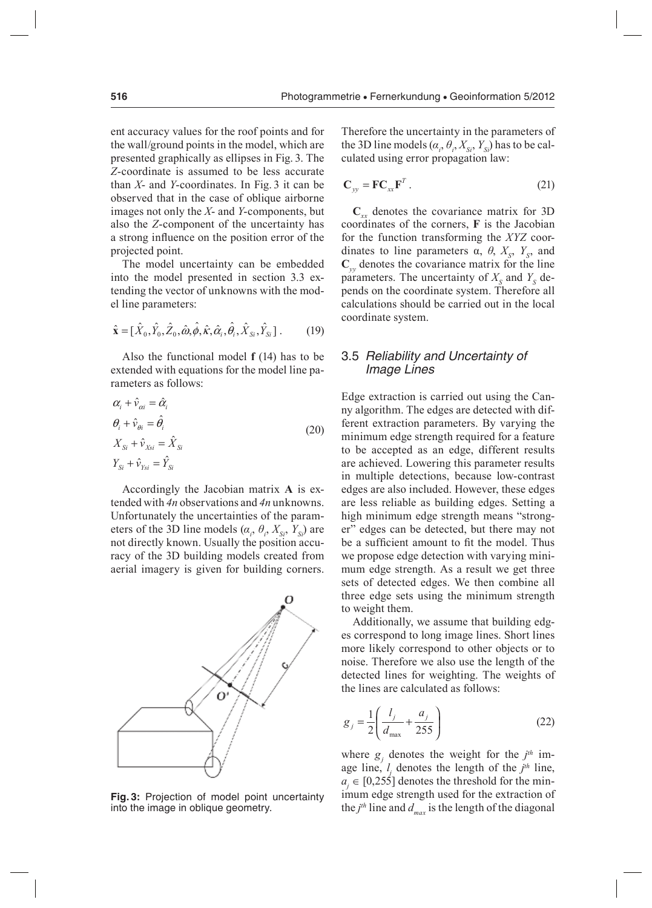ent accuracy values for the roof points and for the wall/ground points in the model, which are presented graphically as ellipses in Fig. 3. The *Z*-coordinate is assumed to be less accurate than *X*- and *Y*-coordinates. In Fig. 3 it can be observed that in the case of oblique airborne images not only the *X*- and *Y*-components, but also the *Z*-component of the uncertainty has a strong inluence on the position error of the projected point.

The model uncertainty can be embedded into the model presented in section 3.3 extending the vector of unknowns with the model line parameters:

$$
\hat{\mathbf{x}} = [\hat{X}_0, \hat{Y}_0, \hat{Z}_0, \hat{\omega}, \hat{\phi}, \hat{\kappa}, \hat{\alpha}_i, \hat{\theta}_i, \hat{X}_{Si}, \hat{Y}_{Si}] \,. \tag{19}
$$

Also the functional model **f** (14) has to be extended with equations for the model line parameters as follows:

$$
\alpha_i + \hat{v}_{\alpha i} = \hat{\alpha}_i
$$
\n
$$
\theta_i + \hat{v}_{\theta i} = \hat{\theta}_i
$$
\n
$$
X_{Si} + \hat{v}_{Xi} = \hat{X}_{Si}
$$
\n
$$
Y_{Si} + \hat{v}_{Ysi} = \hat{Y}_{Si}
$$
\n(20)

Accordingly the Jacobian matrix **A** is extended with *4n* observations and *4n* unknowns. Unfortunately the uncertainties of the parameters of the 3D line models  $(\alpha_i, \theta_i, X_{S_i}, Y_{S_i})$  are not directly known. Usually the position accuracy of the 3D building models created from aerial imagery is given for building corners.



**Fig. 3:** Projection of model point uncertainty into the image in oblique geometry.

Therefore the uncertainty in the parameters of the 3D line models  $(\alpha_i, \theta_i, X_{Si}, Y_{Si})$  has to be calculated using error propagation law:

$$
\mathbf{C}_{yy} = \mathbf{F} \mathbf{C}_{xx} \mathbf{F}^T. \tag{21}
$$

**C***xx* denotes the covariance matrix for 3D coordinates of the corners, **F** is the Jacobian for the function transforming the *XYZ* coordinates to line parameters  $\alpha$ ,  $\theta$ ,  $X_s$ ,  $Y_s$ , and **C***yy* denotes the covariance matrix for the line parameters. The uncertainty of  $X<sub>S</sub>$  and  $Y<sub>S</sub>$  depends on the coordinate system. Therefore all calculations should be carried out in the local coordinate system.

## 3.5 Reliability and Uncertainty of Image Lines

Edge extraction is carried out using the Canny algorithm. The edges are detected with different extraction parameters. By varying the minimum edge strength required for a feature to be accepted as an edge, different results are achieved. Lowering this parameter results in multiple detections, because low-contrast edges are also included. However, these edges are less reliable as building edges. Setting a high minimum edge strength means "stronger" edges can be detected, but there may not be a sufficient amount to fit the model. Thus we propose edge detection with varying minimum edge strength. As a result we get three sets of detected edges. We then combine all three edge sets using the minimum strength to weight them.

Additionally, we assume that building edges correspond to long image lines. Short lines more likely correspond to other objects or to noise. Therefore we also use the length of the detected lines for weighting. The weights of the lines are calculated as follows:

$$
g_j = \frac{1}{2} \left( \frac{l_j}{d_{\text{max}}} + \frac{a_j}{255} \right)
$$
 (22)

where  $g_j$  denotes the weight for the  $j<sup>th</sup>$  image line,  $l_j$  denotes the length of the  $j<sup>th</sup>$  line,  $a_i \in [0,255]$  denotes the threshold for the minimum edge strength used for the extraction of the  $j<sup>th</sup>$  line and  $d_{max}$  is the length of the diagonal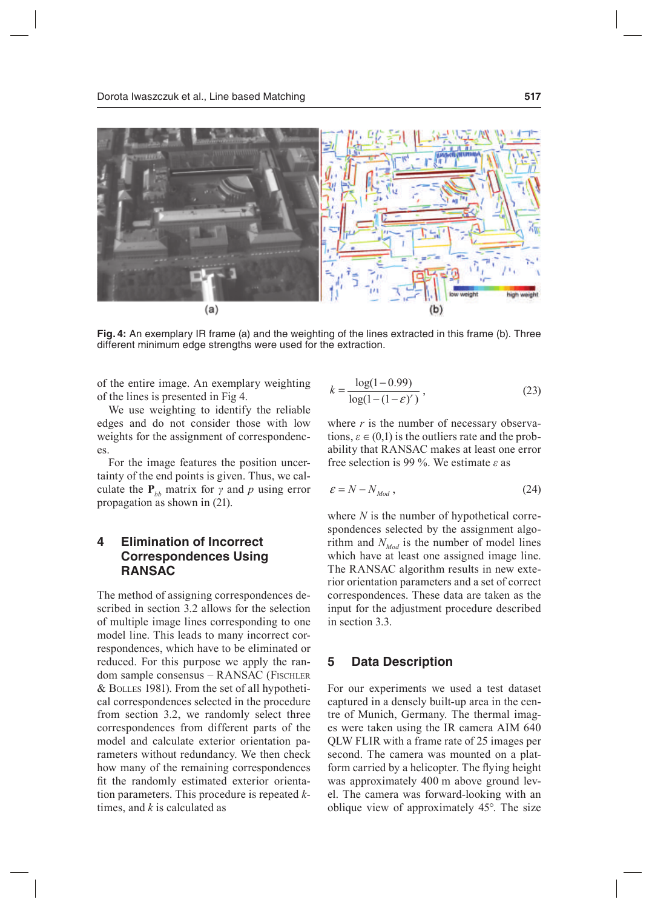

**Fig. 4:** An exemplary IR frame (a) and the weighting of the lines extracted in this frame (b). Three different minimum edge strengths were used for the extraction.

of the entire image. An exemplary weighting of the lines is presented in Fig 4.

We use weighting to identify the reliable edges and do not consider those with low weights for the assignment of correspondences.

For the image features the position uncertainty of the end points is given. Thus, we calculate the  $P_{bb}$  matrix for  $\gamma$  and  $p$  using error propagation as shown in (21).

# **4 Elimination of Incorrect Correspondences Using RANSAC**

The method of assigning correspondences described in section 3.2 allows for the selection of multiple image lines corresponding to one model line. This leads to many incorrect correspondences, which have to be eliminated or reduced. For this purpose we apply the random sample consensus – RANSAC (Fischler & bolles 1981). From the set of all hypothetical correspondences selected in the procedure from section 3.2, we randomly select three correspondences from different parts of the model and calculate exterior orientation parameters without redundancy. We then check how many of the remaining correspondences fit the randomly estimated exterior orientation parameters. This procedure is repeated *k*times, and *k* is calculated as

$$
k = \frac{\log(1 - 0.99)}{\log(1 - (1 - \varepsilon)^{r})},
$$
\n(23)

where  $r$  is the number of necessary observations,  $\varepsilon \in (0,1)$  is the outliers rate and the probability that RANSAC makes at least one error free selection is 99 %. We estimate *ε* as

$$
\varepsilon = N - N_{Mod} \,,\tag{24}
$$

where *N* is the number of hypothetical correspondences selected by the assignment algorithm and  $N_{Mod}$  is the number of model lines which have at least one assigned image line. The RANSAC algorithm results in new exterior orientation parameters and a set of correct correspondences. These data are taken as the input for the adjustment procedure described in section 3.3.

### **5 Data Description**

For our experiments we used a test dataset captured in a densely built-up area in the centre of Munich, Germany. The thermal images were taken using the IR camera AIM 640 QLW FLIR with a frame rate of 25 images per second. The camera was mounted on a platform carried by a helicopter. The flying height was approximately 400 m above ground level. The camera was forward-looking with an oblique view of approximately 45°. The size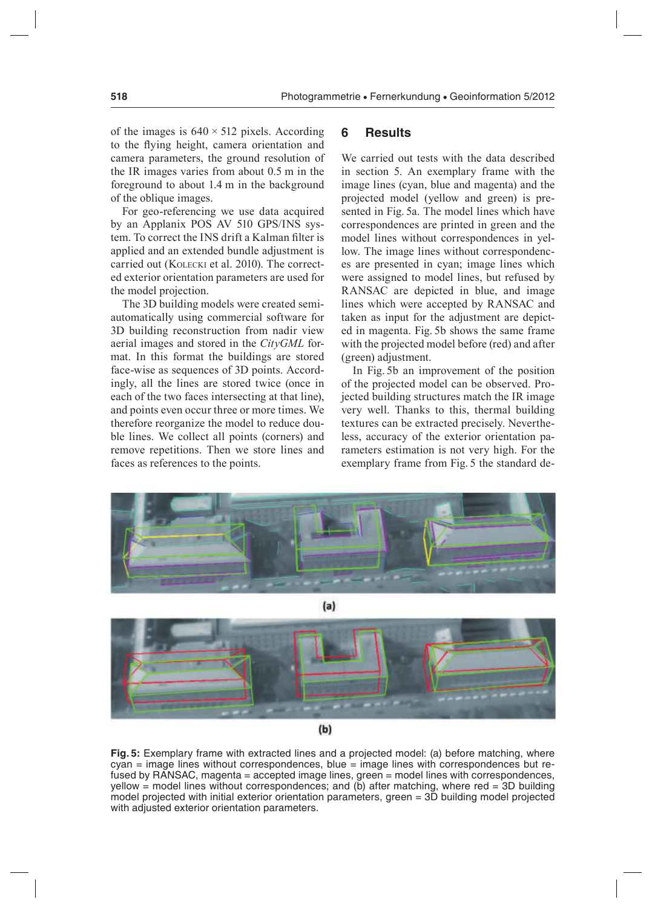of the images is  $640 \times 512$  pixels. According to the flying height, camera orientation and camera parameters, the ground resolution of the IR images varies from about 0.5 m in the foreground to about 1.4 m in the background of the oblique images.

For geo-referencing we use data acquired by an Applanix POS AV 510 GPS/INS system. To correct the INS drift a Kalman filter is applied and an extended bundle adjustment is carried out (kolecki et al. 2010). The corrected exterior orientation parameters are used for the model projection.

The 3D building models were created semiautomatically using commercial software for 3D building reconstruction from nadir view aerial images and stored in the *CityGML* format. In this format the buildings are stored face-wise as sequences of 3D points. Accordingly, all the lines are stored twice (once in each of the two faces intersecting at that line), and points even occur three or more times. We therefore reorganize the model to reduce double lines. We collect all points (corners) and remove repetitions. Then we store lines and faces as references to the points.

## **6 Results**

We carried out tests with the data described in section 5. An exemplary frame with the image lines (cyan, blue and magenta) and the projected model (yellow and green) is presented in Fig. 5a. The model lines which have correspondences are printed in green and the model lines without correspondences in yellow. The image lines without correspondences are presented in cyan; image lines which were assigned to model lines, but refused by RANSAC are depicted in blue, and image lines which were accepted by RANSAC and taken as input for the adjustment are depicted in magenta. Fig. 5b shows the same frame with the projected model before (red) and after (green) adjustment.

In Fig. 5b an improvement of the position of the projected model can be observed. Projected building structures match the IR image very well. Thanks to this, thermal building textures can be extracted precisely. Nevertheless, accuracy of the exterior orientation parameters estimation is not very high. For the exemplary frame from Fig. 5 the standard de-



 $(a)$ 



**Fig. 5:** Exemplary frame with extracted lines and a projected model: (a) before matching, where cyan = image lines without correspondences, blue = image lines with correspondences but refused by RANSAC, magenta = accepted image lines, green = model lines with correspondences, yellow = model lines without correspondences; and (b) after matching, where  $red = 3D$  building model projected with initial exterior orientation parameters, green = 3D building model projected with adjusted exterior orientation parameters.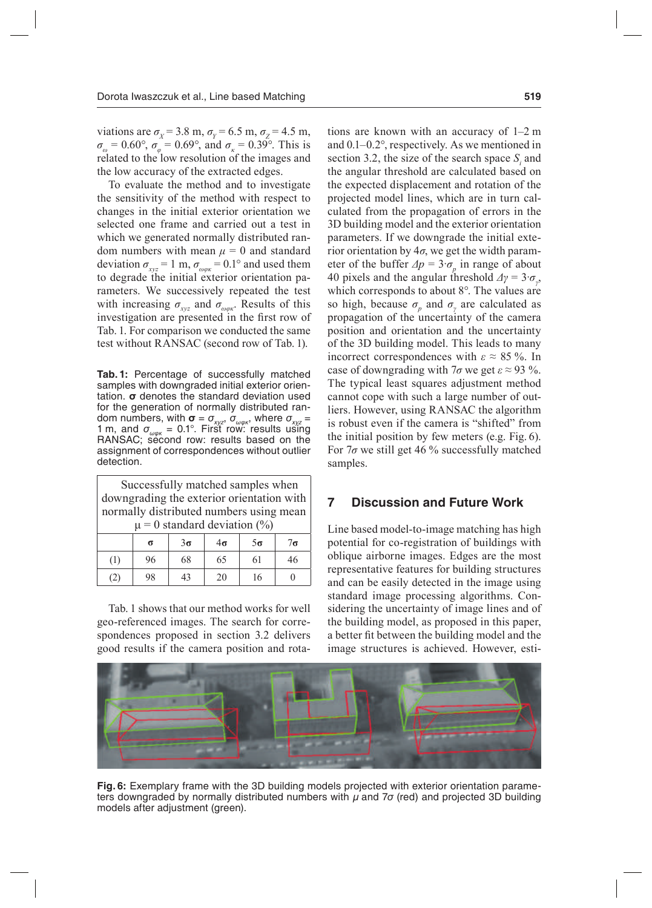viations are  $\sigma_X$  = 3.8 m,  $\sigma_Y$  = 6.5 m,  $\sigma_Z$  = 4.5 m,  $\sigma_{\omega} = 0.60^{\circ}, \sigma_{\varphi} = 0.69^{\circ}, \text{ and } \sigma_{\kappa} = 0.39^{\circ}.$  This is related to the low resolution of the images and the low accuracy of the extracted edges.

To evaluate the method and to investigate the sensitivity of the method with respect to changes in the initial exterior orientation we selected one frame and carried out a test in which we generated normally distributed random numbers with mean  $\mu = 0$  and standard deviation  $\sigma_{xyz} = 1 \text{ m}, \sigma_{\omega \varphi x} = 0.1^{\circ}$  and used them to degrade the initial exterior orientation parameters. We successively repeated the test with increasing  $\sigma_{xyz}$  and  $\sigma_{\omega\varphi\kappa}$ . Results of this investigation are presented in the first row of Tab. 1. For comparison we conducted the same test without RANSAC (second row of Tab. 1).

**Tab. 1:** Percentage of successfully matched samples with downgraded initial exterior orientation. **σ** denotes the standard deviation used for the generation of normally distributed random numbers, with  $\sigma = \sigma_{xyz}$ ,  $\sigma_{\omega \omega k}$ , where  $\sigma_{xyz}$  = 1 m, and  $\sigma_{\omega \varphi \kappa} = 0.1^{\circ}$ . First row: results using RANSAC; second row: results based on the assignment of correspondences without outlier detection.

| Successfully matched samples when<br>downgrading the exterior orientation with<br>normally distributed numbers using mean |    |           |           |           |           |
|---------------------------------------------------------------------------------------------------------------------------|----|-----------|-----------|-----------|-----------|
| $\mu$ = 0 standard deviation (%)                                                                                          |    |           |           |           |           |
|                                                                                                                           | σ  | $3\sigma$ | $4\sigma$ | $5\sigma$ | $7\sigma$ |
| (1)                                                                                                                       | 96 | 68        | 65        | 61        | 46        |
|                                                                                                                           |    |           | 20        | 16        |           |

Tab. 1 shows that our method works for well geo-referenced images. The search for correspondences proposed in section 3.2 delivers good results if the camera position and rota-

tions are known with an accuracy of 1–2 m and 0.1–0.2°, respectively. As we mentioned in section 3.2, the size of the search space  $S_i$  and the angular threshold are calculated based on the expected displacement and rotation of the projected model lines, which are in turn calculated from the propagation of errors in the 3D building model and the exterior orientation parameters. If we downgrade the initial exterior orientation by 4*σ*, we get the width parameter of the buffer  $\Delta p = 3 \cdot \sigma_p$  in range of about 40 pixels and the angular threshold  $\Delta \gamma = 3 \cdot \sigma_{\gamma}$ , which corresponds to about 8°. The values are so high, because  $\sigma_p$  and  $\sigma_\gamma$  are calculated as propagation of the uncertainty of the camera position and orientation and the uncertainty of the 3D building model. This leads to many incorrect correspondences with  $\varepsilon \approx 85$  %. In case of downgrading with  $7\sigma$  we get  $\varepsilon \approx 93$  %. The typical least squares adjustment method cannot cope with such a large number of outliers. However, using RANSAC the algorithm is robust even if the camera is "shifted" from the initial position by few meters (e.g. Fig. 6). For 7*σ* we still get 46 % successfully matched samples.

## **7 Discussion and Future Work**

Line based model-to-image matching has high potential for co-registration of buildings with oblique airborne images. Edges are the most representative features for building structures and can be easily detected in the image using standard image processing algorithms. Considering the uncertainty of image lines and of the building model, as proposed in this paper, a better it between the building model and the image structures is achieved. However, esti-



**Fig. 6:** Exemplary frame with the 3D building models projected with exterior orientation parameters downgraded by normally distributed numbers with μ and 7*σ* (red) and projected 3D building models after adjustment (green).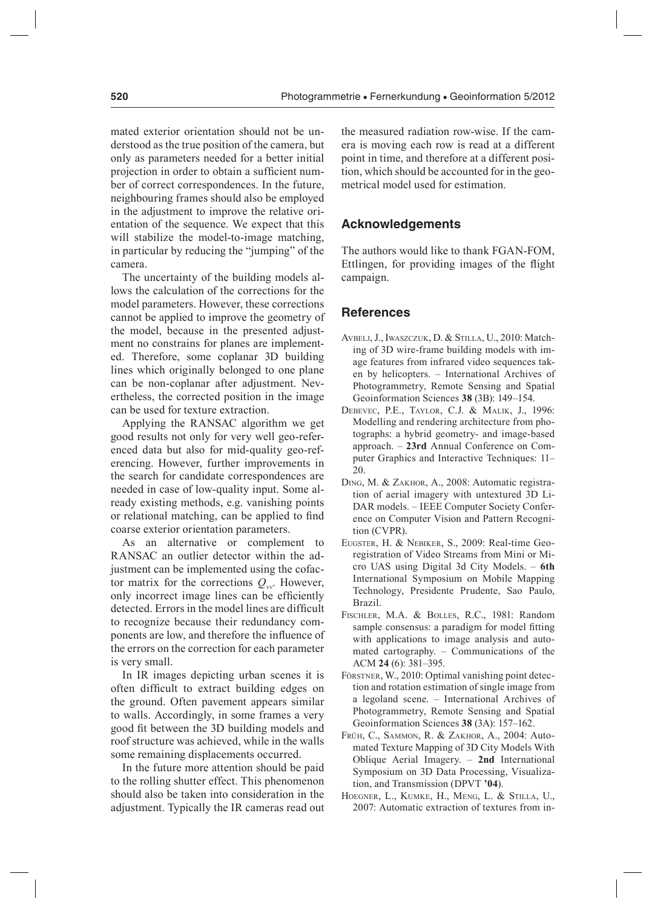mated exterior orientation should not be understood as the true position of the camera, but only as parameters needed for a better initial projection in order to obtain a suficient number of correct correspondences. In the future, neighbouring frames should also be employed in the adjustment to improve the relative orientation of the sequence. We expect that this will stabilize the model-to-image matching, in particular by reducing the "jumping" of the camera.

The uncertainty of the building models allows the calculation of the corrections for the model parameters. However, these corrections cannot be applied to improve the geometry of the model, because in the presented adjustment no constrains for planes are implemented. Therefore, some coplanar 3D building lines which originally belonged to one plane can be non-coplanar after adjustment. Nevertheless, the corrected position in the image can be used for texture extraction.

Applying the RANSAC algorithm we get good results not only for very well geo-referenced data but also for mid-quality geo-referencing. However, further improvements in the search for candidate correspondences are needed in case of low-quality input. Some already existing methods, e.g. vanishing points or relational matching, can be applied to find coarse exterior orientation parameters.

As an alternative or complement to RANSAC an outlier detector within the adjustment can be implemented using the cofactor matrix for the corrections  $Q_{vv}$ . However, only incorrect image lines can be eficiently detected. Errors in the model lines are dificult to recognize because their redundancy components are low, and therefore the influence of the errors on the correction for each parameter is very small.

In IR images depicting urban scenes it is often dificult to extract building edges on the ground. Often pavement appears similar to walls. Accordingly, in some frames a very good it between the 3D building models and roof structure was achieved, while in the walls some remaining displacements occurred.

In the future more attention should be paid to the rolling shutter effect. This phenomenon should also be taken into consideration in the adjustment. Typically the IR cameras read out

the measured radiation row-wise. If the camera is moving each row is read at a different point in time, and therefore at a different position, which should be accounted for in the geometrical model used for estimation.

## **Acknowledgements**

The authors would like to thank FGAN-FOM, Ettlingen, for providing images of the flight campaign.

#### **References**

- AVBELJ, J., IWASZCZUK, D. & STILLA, U., 2010: Matching of 3D wire-frame building models with image features from infrared video sequences taken by helicopters. – International Archives of Photogrammetry, Remote Sensing and Spatial Geoinformation Sciences **38** (3B): 149–154.
- DebeVec, P.e., taylor, c.j. & malik, j., 1996: Modelling and rendering architecture from photographs: a hybrid geometry- and image-based approach. – **23rd** Annual Conference on Computer Graphics and Interactive Techniques: 11– 20.
- DING, M. & ZAKHOR, A., 2008: Automatic registration of aerial imagery with untextured 3D Li-DAR models. – IEEE Computer Society Conference on Computer Vision and Pattern Recognition (CVPR).
- EUGSTER, H. & NEBIKER, S., 2009: Real-time Georegistration of Video Streams from Mini or Micro UAS using Digital 3d City Models. – **6th** International Symposium on Mobile Mapping Technology, Presidente Prudente, Sao Paulo, Brazil.
- FISCHLER, M.A. & BOLLES, R.C., 1981: Random sample consensus: a paradigm for model fitting with applications to image analysis and automated cartography. – Communications of the ACM **24** (6): 381–395.
- FÖRSTNER, W., 2010: Optimal vanishing point detection and rotation estimation of single image from a legoland scene. – International Archives of Photogrammetry, Remote Sensing and Spatial Geoinformation Sciences **38** (3A): 157–162.
- FRÜH, C., SAMMON, R. & ZAKHOR, A., 2004: Automated Texture Mapping of 3D City Models With Oblique Aerial Imagery. – **2nd** International Symposium on 3D Data Processing, Visualization, and Transmission (DPVT **'04**).
- hoegner, l., kumke, h., meng, l. & stilla, u., 2007: Automatic extraction of textures from in-